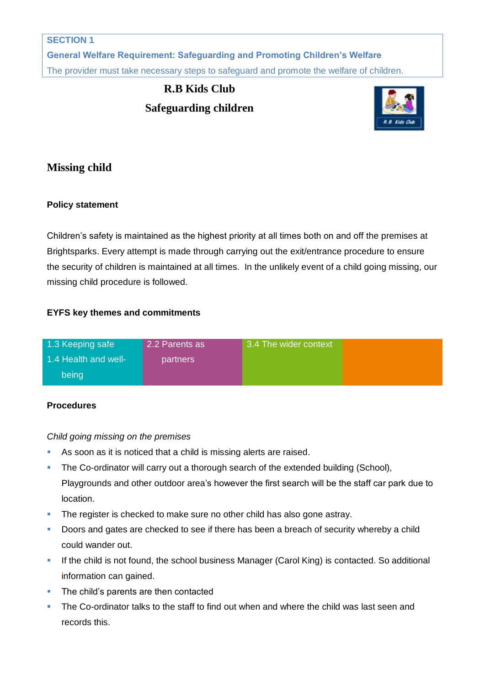**General Welfare Requirement: Safeguarding and Promoting Children's Welfare** The provider must take necessary steps to safeguard and promote the welfare of children.

# **R.B Kids Club Safeguarding children**



## **Missing child**

## **Policy statement**

Children's safety is maintained as the highest priority at all times both on and off the premises at Brightsparks. Every attempt is made through carrying out the exit/entrance procedure to ensure the security of children is maintained at all times. In the unlikely event of a child going missing, our missing child procedure is followed.

## **EYFS key themes and commitments**

| 1.3 Keeping safe     | 2.2 Parents as | 3.4 The wider context |  |
|----------------------|----------------|-----------------------|--|
| 1.4 Health and well- | partners       |                       |  |
| being                |                |                       |  |

## **Procedures**

*Child going missing on the premises*

- As soon as it is noticed that a child is missing alerts are raised.
- The Co-ordinator will carry out a thorough search of the extended building (School), Playgrounds and other outdoor area's however the first search will be the staff car park due to location.
- The register is checked to make sure no other child has also gone astray.
- Doors and gates are checked to see if there has been a breach of security whereby a child could wander out.
- If the child is not found, the school business Manager (Carol King) is contacted. So additional information can gained.
- The child's parents are then contacted
- **The Co-ordinator talks to the staff to find out when and where the child was last seen and** records this.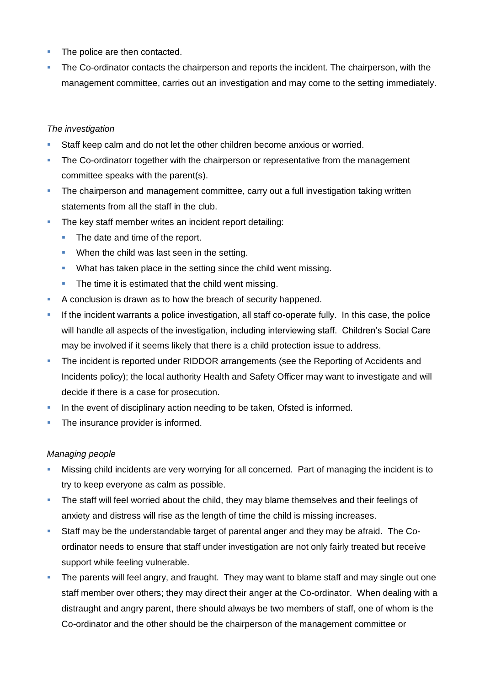- The police are then contacted.
- The Co-ordinator contacts the chairperson and reports the incident. The chairperson, with the management committee, carries out an investigation and may come to the setting immediately.

#### *The investigation*

- Staff keep calm and do not let the other children become anxious or worried.
- The Co-ordinatorr together with the chairperson or representative from the management committee speaks with the parent(s).
- The chairperson and management committee, carry out a full investigation taking written statements from all the staff in the club.
- The key staff member writes an incident report detailing:
	- The date and time of the report.
	- **When the child was last seen in the setting.**
	- **What has taken place in the setting since the child went missing.**
	- The time it is estimated that the child went missing.
- A conclusion is drawn as to how the breach of security happened.
- If the incident warrants a police investigation, all staff co-operate fully. In this case, the police will handle all aspects of the investigation, including interviewing staff. Children's Social Care may be involved if it seems likely that there is a child protection issue to address.
- The incident is reported under RIDDOR arrangements (see the Reporting of Accidents and Incidents policy); the local authority Health and Safety Officer may want to investigate and will decide if there is a case for prosecution.
- In the event of disciplinary action needing to be taken, Ofsted is informed.
- The insurance provider is informed.

#### *Managing people*

- Missing child incidents are very worrying for all concerned. Part of managing the incident is to try to keep everyone as calm as possible.
- The staff will feel worried about the child, they may blame themselves and their feelings of anxiety and distress will rise as the length of time the child is missing increases.
- Staff may be the understandable target of parental anger and they may be afraid. The Coordinator needs to ensure that staff under investigation are not only fairly treated but receive support while feeling vulnerable.
- The parents will feel angry, and fraught. They may want to blame staff and may single out one staff member over others; they may direct their anger at the Co-ordinator. When dealing with a distraught and angry parent, there should always be two members of staff, one of whom is the Co-ordinator and the other should be the chairperson of the management committee or